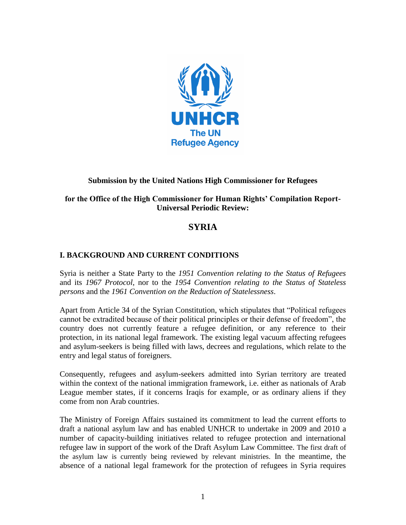

# **Submission by the United Nations High Commissioner for Refugees**

# **for the Office of the High Commissioner for Human Rights' Compilation Report-Universal Periodic Review:**

# **SYRIA**

# **I. BACKGROUND AND CURRENT CONDITIONS**

Syria is neither a State Party to the *1951 Convention relating to the Status of Refugees* and its *1967 Protocol*, nor to the *1954 Convention relating to the Status of Stateless persons* and the *1961 Convention on the Reduction of Statelessness*.

Apart from Article 34 of the Syrian Constitution, which stipulates that "Political refugees cannot be extradited because of their political principles or their defense of freedom", the country does not currently feature a refugee definition, or any reference to their protection, in its national legal framework. The existing legal vacuum affecting refugees and asylum-seekers is being filled with laws, decrees and regulations, which relate to the entry and legal status of foreigners.

Consequently, refugees and asylum-seekers admitted into Syrian territory are treated within the context of the national immigration framework, i.e. either as nationals of Arab League member states, if it concerns Iraqis for example, or as ordinary aliens if they come from non Arab countries.

The Ministry of Foreign Affairs sustained its commitment to lead the current efforts to draft a national asylum law and has enabled UNHCR to undertake in 2009 and 2010 a number of capacity-building initiatives related to refugee protection and international refugee law in support of the work of the Draft Asylum Law Committee. The first draft of the asylum law is currently being reviewed by relevant ministries. In the meantime, the absence of a national legal framework for the protection of refugees in Syria requires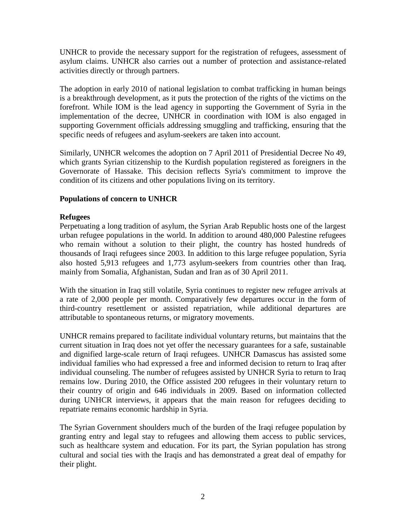UNHCR to provide the necessary support for the registration of refugees, assessment of asylum claims. UNHCR also carries out a number of protection and assistance-related activities directly or through partners.

The adoption in early 2010 of national legislation to combat trafficking in human beings is a breakthrough development, as it puts the protection of the rights of the victims on the forefront. While IOM is the lead agency in supporting the Government of Syria in the implementation of the decree, UNHCR in coordination with IOM is also engaged in supporting Government officials addressing smuggling and trafficking, ensuring that the specific needs of refugees and asylum-seekers are taken into account.

Similarly, UNHCR welcomes the adoption on 7 April 2011 of Presidential Decree No 49, which grants Syrian citizenship to the Kurdish population registered as foreigners in the Governorate of Hassake. This decision reflects Syria's commitment to improve the condition of its citizens and other populations living on its territory.

## **Populations of concern to UNHCR**

## **Refugees**

Perpetuating a long tradition of asylum, the Syrian Arab Republic hosts one of the largest urban refugee populations in the world. In addition to around 480,000 Palestine refugees who remain without a solution to their plight, the country has hosted hundreds of thousands of Iraqi refugees since 2003. In addition to this large refugee population, Syria also hosted 5,913 refugees and 1,773 asylum-seekers from countries other than Iraq, mainly from Somalia, Afghanistan, Sudan and Iran as of 30 April 2011.

With the situation in Iraq still volatile, Syria continues to register new refugee arrivals at a rate of 2,000 people per month. Comparatively few departures occur in the form of third-country resettlement or assisted repatriation, while additional departures are attributable to spontaneous returns, or migratory movements.

UNHCR remains prepared to facilitate individual voluntary returns, but maintains that the current situation in Iraq does not yet offer the necessary guarantees for a safe, sustainable and dignified large-scale return of Iraqi refugees. UNHCR Damascus has assisted some individual families who had expressed a free and informed decision to return to Iraq after individual counseling. The number of refugees assisted by UNHCR Syria to return to Iraq remains low. During 2010, the Office assisted 200 refugees in their voluntary return to their country of origin and 646 individuals in 2009. Based on information collected during UNHCR interviews, it appears that the main reason for refugees deciding to repatriate remains economic hardship in Syria.

The Syrian Government shoulders much of the burden of the Iraqi refugee population by granting entry and legal stay to refugees and allowing them access to public services, such as healthcare system and education. For its part, the Syrian population has strong cultural and social ties with the Iraqis and has demonstrated a great deal of empathy for their plight.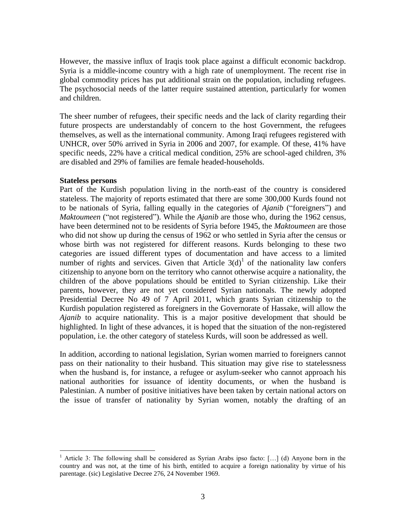However, the massive influx of Iraqis took place against a difficult economic backdrop. Syria is a middle-income country with a high rate of unemployment. The recent rise in global commodity prices has put additional strain on the population, including refugees. The psychosocial needs of the latter require sustained attention, particularly for women and children.

The sheer number of refugees, their specific needs and the lack of clarity regarding their future prospects are understandably of concern to the host Government, the refugees themselves, as well as the international community. Among Iraqi refugees registered with UNHCR, over 50% arrived in Syria in 2006 and 2007, for example. Of these, 41% have specific needs, 22% have a critical medical condition, 25% are school-aged children, 3% are disabled and 29% of families are female headed-households.

#### **Stateless persons**

 $\overline{a}$ 

Part of the Kurdish population living in the north-east of the country is considered stateless. The majority of reports estimated that there are some 300,000 Kurds found not to be nationals of Syria, falling equally in the categories of *Ajanib* ("foreigners") and *Maktoumeen* ("not registered"). While the *Ajanib* are those who, during the 1962 census, have been determined not to be residents of Syria before 1945, the *Maktoumeen* are those who did not show up during the census of 1962 or who settled in Syria after the census or whose birth was not registered for different reasons. Kurds belonging to these two categories are issued different types of documentation and have access to a limited number of rights and services. Given that Article  $3(d)^{1}$  of the nationality law confers citizenship to anyone born on the territory who cannot otherwise acquire a nationality, the children of the above populations should be entitled to Syrian citizenship. Like their parents, however, they are not yet considered Syrian nationals. The newly adopted Presidential Decree No 49 of 7 April 2011, which grants Syrian citizenship to the Kurdish population registered as foreigners in the Governorate of Hassake, will allow the *Ajanib* to acquire nationality. This is a major positive development that should be highlighted. In light of these advances, it is hoped that the situation of the non-registered population, i.e. the other category of stateless Kurds, will soon be addressed as well.

In addition, according to national legislation, Syrian women married to foreigners cannot pass on their nationality to their husband. This situation may give rise to statelessness when the husband is, for instance, a refugee or asylum-seeker who cannot approach his national authorities for issuance of identity documents, or when the husband is Palestinian. A number of positive initiatives have been taken by certain national actors on the issue of transfer of nationality by Syrian women, notably the drafting of an

<sup>&</sup>lt;sup>1</sup> Article 3: The following shall be considered as Syrian Arabs ipso facto:  $[\,\ldots]$  (d) Anyone born in the country and was not, at the time of his birth, entitled to acquire a foreign nationality by virtue of his parentage. (sic) Legislative Decree 276, 24 November 1969.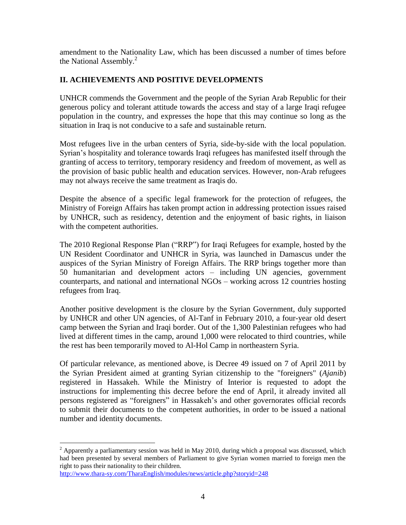amendment to the Nationality Law, which has been discussed a number of times before the National Assembly.<sup>2</sup>

# **II. ACHIEVEMENTS AND POSITIVE DEVELOPMENTS**

UNHCR commends the Government and the people of the Syrian Arab Republic for their generous policy and tolerant attitude towards the access and stay of a large Iraqi refugee population in the country, and expresses the hope that this may continue so long as the situation in Iraq is not conducive to a safe and sustainable return.

Most refugees live in the urban centers of Syria, side-by-side with the local population. Syrian's hospitality and tolerance towards Iraqi refugees has manifested itself through the granting of access to territory, temporary residency and freedom of movement, as well as the provision of basic public health and education services. However, non-Arab refugees may not always receive the same treatment as Iraqis do.

Despite the absence of a specific legal framework for the protection of refugees, the Ministry of Foreign Affairs has taken prompt action in addressing protection issues raised by UNHCR, such as residency, detention and the enjoyment of basic rights, in liaison with the competent authorities.

The 2010 Regional Response Plan ("RRP") for Iraqi Refugees for example, hosted by the UN Resident Coordinator and UNHCR in Syria, was launched in Damascus under the auspices of the Syrian Ministry of Foreign Affairs. The RRP brings together more than 50 humanitarian and development actors – including UN agencies, government counterparts, and national and international NGOs – working across 12 countries hosting refugees from Iraq.

Another positive development is the closure by the Syrian Government, duly supported by UNHCR and other UN agencies, of Al-Tanf in February 2010, a four-year old desert camp between the Syrian and Iraqi border. Out of the 1,300 Palestinian refugees who had lived at different times in the camp, around 1,000 were relocated to third countries, while the rest has been temporarily moved to Al-Hol Camp in northeastern Syria.

Of particular relevance, as mentioned above, is Decree 49 issued on 7 of April 2011 by the Syrian President aimed at granting Syrian citizenship to the "foreigners" (*Ajanib*) registered in Hassakeh. While the Ministry of Interior is requested to adopt the instructions for implementing this decree before the end of April, it already invited all persons registered as "foreigners" in Hassakeh's and other governorates official records to submit their documents to the competent authorities, in order to be issued a national number and identity documents.

 $\overline{a}$ 

 $^{2}$  Apparently a parliamentary session was held in May 2010, during which a proposal was discussed, which had been presented by several members of Parliament to give Syrian women married to foreign men the right to pass their nationality to their children.

<http://www.thara-sy.com/TharaEnglish/modules/news/article.php?storyid=248>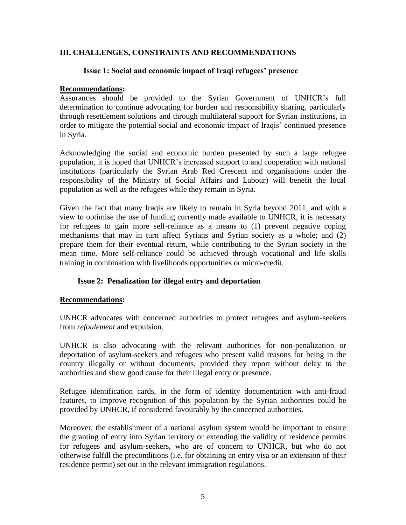## **III. CHALLENGES, CONSTRAINTS AND RECOMMENDATIONS**

### **Issue 1: Social and economic impact of Iraqi refugees' presence**

#### **Recommendations:**

Assurances should be provided to the Syrian Government of UNHCR's full determination to continue advocating for burden and responsibility sharing, particularly through resettlement solutions and through multilateral support for Syrian institutions, in order to mitigate the potential social and economic impact of Iraqis' continued presence in Syria.

Acknowledging the social and economic burden presented by such a large refugee population, it is hoped that UNHCR's increased support to and cooperation with national institutions (particularly the Syrian Arab Red Crescent and organisations under the responsibility of the Ministry of Social Affairs and Labour) will benefit the local population as well as the refugees while they remain in Syria.

Given the fact that many Iraqis are likely to remain in Syria beyond 2011, and with a view to optimise the use of funding currently made available to UNHCR, it is necessary for refugees to gain more self-reliance as a means to (1) prevent negative coping mechanisms that may in turn affect Syrians and Syrian society as a whole; and (2) prepare them for their eventual return, while contributing to the Syrian society in the mean time. More self-reliance could be achieved through vocational and life skills training in combination with livelihoods opportunities or micro-credit.

#### **Issue 2: Penalization for illegal entry and deportation**

#### **Recommendations:**

UNHCR advocates with concerned authorities to protect refugees and asylum-seekers from *refoulement* and expulsion.

UNHCR is also advocating with the relevant authorities for non-penalization or deportation of asylum-seekers and refugees who present valid reasons for being in the country illegally or without documents, provided they report without delay to the authorities and show good cause for their illegal entry or presence.

Refugee identification cards, in the form of identity documentation with anti-fraud features, to improve recognition of this population by the Syrian authorities could be provided by UNHCR, if considered favourably by the concerned authorities.

Moreover, the establishment of a national asylum system would be important to ensure the granting of entry into Syrian territory or extending the validity of residence permits for refugees and asylum-seekers, who are of concern to UNHCR, but who do not otherwise fulfill the preconditions (i.e. for obtaining an entry visa or an extension of their residence permit) set out in the relevant immigration regulations.